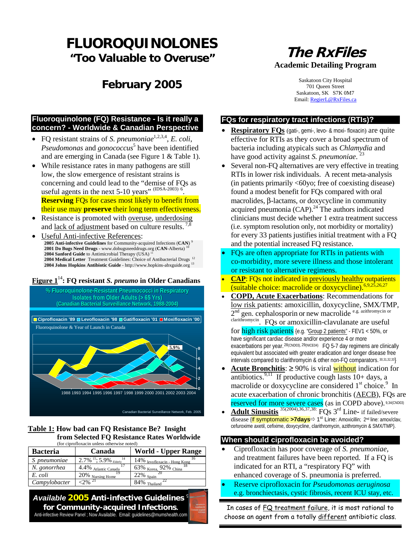# **FLUOROQUINOLONES "Too Valuable to Overuse"**

# **February 2005**

# **The RxFiles Academic Detailing Program**

Saskatoon City Hospital 701 Queen Street Saskatoon, SK S7K 0M7 Email: RegierL@RxFiles.ca

### **FQs for respiratory tract infections (RTIs)?**

- **Respiratory FQs** (gati-, gemi-, levo- & moxi- floxacin) are quite effective for RTIs as they cover a broad spectrum of bacteria including atypicals such as *Chlamydia* and have good activity against *S. pneumoniae*.<sup>23</sup>
- Several non-FQ alternatives are very effective in treating RTIs in lower risk individuals. A recent meta-analysis (in patients primarily <60yo; free of coexisting disease) found a modest benefit for FQs compared with oral macrolides, β-lactams, or doxycycline in community acquired pneumonia  $(CAP)^{24}$  The authors indicated clinicians must decide whether 1 extra treatment success (i.e. symptom resolution only, not morbidity or mortality) for every 33 patients justifies initial treatment with a FQ and the potential increased FQ resistance.
- FQs are often appropriate for RTIs in patients with co-morbidity, more severe illness and those intolerant or resistant to alternative regimens.
- **CAP**: FQs not indicated in previously healthy outpatients (suitable choice: macrolide or doxycycline).<sup>6,9,25,26,27</sup>
- **COPD, Acute Exacerbations**: Recommendations for low risk patients: amoxicillin, doxycycline, SMX/TMP, 2<sup>nd</sup> gen. cephalosporin or new macrolide <sup>e.g. azithromycin or</sup>  $\frac{c}{c}$  clarithromycin. FQs or amoxicillin-clavulanate are useful

for high risk patients {e.g. "Group 2 patients" - FEV1 < 50%, or have significant cardiac disease and/or experience 4 or more exacerbations per year.  $^{28}$ (CND03),  $^{29}$ (NICE04) FQ 5-7 day regimens are clinically equivalent but associated with greater eradication and longer disease free intervals compared to clarithromycin & other non-FQ comparators. 30,31,32,33}

- **<u>Acute Bronchitis</u>: ≥** 90% is viral **without** indication for antibiotics.<sup>9,11</sup> If productive cough lasts  $10+$  days, a macrolide or doxycycline are considered  $1<sup>st</sup>$  choice.<sup>9</sup> In acute exacerbation of chronic bronchitis (AECB), FQs are **reserved for more severe cases** (as in COPD above). 9,34(CND03)
- **Adult Sinusitis** <sup>35(2004), 36, 37, 38: FQs 3<sup>rd</sup> Line- if failed/severe</sup>  $\overline{\text{disease}}$  (If symptomatic >7 days  $\Rightarrow$  1<sup>st</sup> Line: Amoxicillin; 2<sup>nd</sup> line: amox/clav, cefuroxime axetil, cefixime, doxycycline, clarithromycin, azithromycin & SMX/TMP}.

#### **When should ciprofloxacin be avoided?**

- Ciprofloxacin has poor coverage of *S. pneumoniae*, and treatment failures have been reported. If a FQ is indicated for an RTI, a "respiratory FQ" with enhanced coverage of S. pneumonia is preferred.
- Reserve ciprofloxacin for *Pseudomonas aeruginosa*

In cases of FQ treatment failure, it is most rational to choose an agent from a totally different antibiotic class.

#### **Fluoroquinolone (FQ) Resistance - Is it really a concern? - Worldwide & Canadian Perspective**

- FO resistant strains of *S. pneumoniae*<sup>1,2,3,4</sup>, *E. coli*, *Pseudomonas* and *gonococcus* 5 have been identified and are emerging in Canada (see Figure 1 & Table 1).
- While resistance rates in many pathogens are still low, the slow emergence of resistant strains is concerning and could lead to the "demise of FQs as useful agents in the next  $5-10$  years" (IDSA-2003)  $^6$ . **Reserving** FQs for cases most likely to benefit from their use may **preserve** their long term effectiveness.
- Resistance is promoted with overuse, underdosing and lack of adjustment based on culture results.  $^{7,8}$
- Useful Anti-infective References: **2005 Anti-infective Guidelines** for Community-acquired Infections (**CAN**) <sup>9</sup> **2001 Do Bugs Need Drugs -** www.dobugsneeddrugs.org (**CAN**-Alberta) <sup>10</sup> 2004 Sanford Guide to Antimicrobial Therapy (USA) 2004 Medical Letter Treatment Guidelines: Choice of Antibacterial Drugs<sup>12</sup> **2004 Johns Hopkins Antibiotic Guide** - <http://www.hopkins-abxguide.org><sup>13</sup>

#### **Figure 1**<sup>14</sup>**: FQ resistant** *S. pneumo* **in Older Canadians**



#### **Table 1: How bad can FQ Resistance Be? Insight from Selected FQ Resistance Rates Worldwide** (for ciprofloxacin unless otherwise noted)

| <b>Bacteria</b>     | Canada                                             | <b>World - Upper Range</b>                  |  |  |
|---------------------|----------------------------------------------------|---------------------------------------------|--|--|
| S <i>pneumoniae</i> | $2.7\%$ <sup>15</sup> ; 5.9% Elderly <sup>14</sup> | $\frac{14\%}{100}$ levofloxacin - Hong Kong |  |  |
| N. gonorrhea        | 4.4% Atlantic Canada                               | 63% Korea, 92% China                        |  |  |
| E. coli             | $20\%$ Nursing Home                                | $22\%$ Spain                                |  |  |
| Campylobacter       | $-2\%$ <sup>21</sup>                               | $84\%$ Thailand                             |  |  |

e.g. bronchiectasis, cystic fibrosis, recent ICU stay, etc. *Available* **2005 Anti-infective Guidelines** <sup>9</sup> **for Community-acquired Infections.** Anti-infective Review Panel ; Now Available. Email: guidelines@mumshealth.com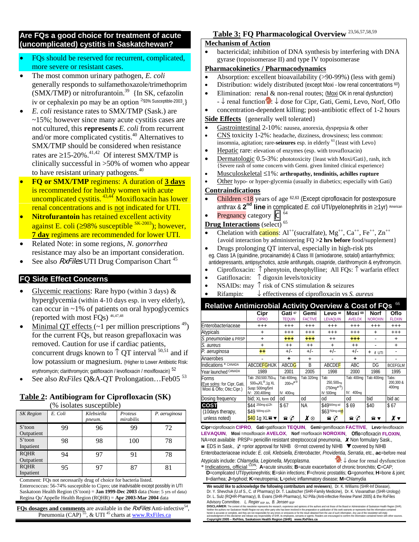#### **Are FQs a good choice for treatment of acute (uncomplicated) cystitis in Saskatchewan?**

- FQs should be reserved for recurrent, complicated, more severe or resistant cases.
- The most common urinary pathogen, *E. coli* generally responds to sulfamethoxazole/trimethoprim  $(SMX/TMP)$  or nitrofurantoin.<sup>39</sup> {In SK, cefazolin iv or cephalexin po may be an option  $\geq 93\%$  Susceptible-2003.
- *E. coli* resistance rates to SMX/TMP (Sask.) are ~15%; however since many acute cystitis cases are not cultured, this **represents** *E. coli* from recurrent and/or more complicated cystitis.40 Alternatives to SMX/TMP should be considered when resistance rates are  $\geq$ 15-20%.<sup>41,42</sup> Of interest SMX/TMP is clinically successful in >50% of women who appear to have resistant urinary pathogens.<sup>40</sup>
- **FQ or SMX/TMP** regimens: A duration of **3 days** is recommended for healthy women with acute uncomplicated cystitis. <sup>43,44</sup> Moxifloxacin has lower renal concentrations and is not indicated for UTI.
- **Nitrofurantoin** has retained excellent activity against E. coli ( $\geq$ 98% susceptible <sup>SK-2003</sup>); however, **7 day** regimens are recommended for lower UTI.
- Related Note: in some regions, *N. gonorrhea* resistance may also be an important consideration.
- See also RxFiles UTI Drug Comparison Chart<sup>45</sup>

### **FQ Side Effect Concerns**

- Glycemic reactions: Rare hypo (within 3 days)  $\&$ hyperglycemia (within 4-10 days esp. in very elderly), can occur in ~1% of patients on oral hypoglycemics (reported with most FQs) 46,47,48
- Minimal QT effects ( $\sim$ 1 per million prescriptions  $^{49}$ ) for the current FQs, but reason grepafloxacin was removed. Caution for use if cardiac patients, concurrent drugs known to  $\uparrow$  QT interval  $^{50,51}$  and if low potassium or magnesium. (Higher to Lower Antibiotic Risk: erythromycin; clarithromycin; gatifloxacin / levofloxacin / moxifloxacin) 52
- See also *RxFiles* Q&A-QT Prolongation...Feb05<sup>53</sup>

#### **Table 2: Antibiogram for Ciprofloxacin (SK)** (% isolates susceptible)

| <b>SK</b> Region          | E. Coli | Klebsiella<br>pneum. | Proteus<br>mirabilis | P. aeruginosa |  |  |  |  |
|---------------------------|---------|----------------------|----------------------|---------------|--|--|--|--|
| S'toon<br>Outpatient      | 99      | 96                   | 99                   | 72            |  |  |  |  |
| S'toon<br>Inpatient       | 98      | 98                   | 100                  | 78            |  |  |  |  |
| <b>RQHR</b><br>Outpatient | 94      | 97                   | 91                   | 78            |  |  |  |  |
| <b>RQHR</b><br>Inpatient  | 95      | 97                   | 87                   | 81            |  |  |  |  |

Comment: FQs not necessarily drug of choice for bacteria listed.

Enterococcus: 56-74% susceptible to Cipro; use inadvisable except possibly in UTI Saskatoon Health Region (S'toon) = **Jan 1999-Dec 2003** data (Note: 5 yrs of data) Regina Qu'Appelle Health Region (RQHR) = **Apr 2003-Mar 2004** data

**FQs dosages and comments** are available in the  $RxFiles$  Anti-infective<sup>54</sup>, Pneumonia (CAP)  $^{55}$ , & UTI <sup>45</sup> charts at www.RxFiles.ca

## **Table 3: FQ Pharmacological Overview** 23,56,57,58,59

#### **Mechanism of Action**

• bactericidal; inhibition of DNA synthesis by interfering with DNA gyrase (topoisomerase II) and type IV topoisomerase

#### **Pharmacokinetics / Pharmacodynamics**

- Absorption: excellent bioavailability (>90-99%) (less with gemi)
- Distribution: widely distributed (except Moxi low renal concentrations <sup>60</sup>)
- Elimination: renal  $\&$  non-renal routes; (Moxi OK in renal dysfunction) - ↓ renal function : ↓ dose for Cipr, Gati, Gemi, Levo, Norf, Oflo
- concentration-dependent killing; post-antibiotic effect of 1-2 hours

#### **Side Effects** {generally well tolerated}

- Gastrointestinal 2-10%: nausea, anorexia, dyspepsia & other
- CNS toxicity 1-2%: headache, dizziness, drowsiness; less common: insomnia, agitation; rare-**seizures** esp. in elderly <sup>61</sup>{least with Levo}
- Hepatic rare: elevation of enzymes (esp. with trovafloxacin)
- Dermatologic 0.5-3%: phototoxicity {least with Moxi/Gati}, rash, itch {Severe rash of some concern with Gemi. given limited clinical experience}
- Musculoskeletal ≤1%: **arthropathy, tendinitis, achilles rupture**

• Other hypo- or hyper-glycemia (usually in diabetics; especially with Gati)

#### **Contraindications**

- Children <18 years of age <sup>62,63</sup> (Except ciprofloxacin for postexposure anthrax & **2nd line** in complicated *E. coli* UTI/pyelonephritis in ≥1yr) American
- Pregnancy category  $\overline{C}$  <sup>64</sup>

### **Drug Interactions** (select)<sup>65</sup>

Chelation with cations:  $Al^{++}$ (sucralfate),  $Mg^{++}$ ,  $Ca^{++}$ ,  $Fe^{++}$ ,  $Zn^{++}$ {avoid interaction by administering FQ **>2 hrs before** food/supplement} • Drugs prolonging QT interval, especially in high-risk pts

 eg. Class 1A (quinidine, procainamide) & Class III (amiodarone, sotalol) antiarrhythmics; antidepressants, antipsychotics, azole antifungals, cisapride, clarithromycin & erythromycin.

- Ciprofloxacin: ↑ phenytoin, theophylline; All FQs: ↑ warfarin effect
- Gatifloxacin: ↑ digoxin levels/toxicity
- NSAIDs: may  $\uparrow$  risk of CNS stimulation & seizures
- Rifampin: ↓ effectiveness of ciprofloxacin vs *S. aureus*

### **Relative Antimicrobial Activity Overview & Cost of FQs** <sup>66</sup>

|                                                                  | Cipr<br><b>CIPRO</b>                                                                                | Gati 67<br><b>TEQUIN</b>                             | Gemi<br><b>FACTIVE</b>                | Levo 68<br><b>LEVAQUIN</b>                                                        | Moxi <sup>69</sup><br><b>AVELOX</b>         | <b>Norf</b><br><b>NOROXIN</b> | Oflo<br><b>FLOXIN</b>       |
|------------------------------------------------------------------|-----------------------------------------------------------------------------------------------------|------------------------------------------------------|---------------------------------------|-----------------------------------------------------------------------------------|---------------------------------------------|-------------------------------|-----------------------------|
| Enterobacteriaceae                                               | $^{+++}$                                                                                            | $^{+++}$                                             | $^{+++}$                              | $^{+++}$                                                                          | $^{+++}$                                    | $^{+++}$                      | $^{+++}$                    |
| Atypicals                                                        | +                                                                                                   | $^{+++}$                                             | $^{+++}$                              | $^{+++}$                                                                          | $^{+++}$                                    | $\ddot{}$                     | $^{+++}$                    |
| S. pneumoniae & PRSP                                             | $\ddot{}$                                                                                           | $^{+++}$                                             | $^{+++}$                              | $++$                                                                              | $^{+++}$                                    |                               | $\ddot{}$                   |
| S. aureus                                                        | $\ddot{}$                                                                                           | $^{++}$                                              | $^{++}$                               | $\ddot{}$                                                                         | $^{\mathrm{+}}$                             |                               | $\ddot{}$                   |
| P. aeruginosa                                                    | $+ +$                                                                                               | $+/-$                                                | $+/-$                                 | $+/-$                                                                             | $+/-$                                       | $+$<br>if UTI                 |                             |
| Anaerobes                                                        |                                                                                                     | ÷                                                    | $\ddot{}$                             |                                                                                   | ٠                                           |                               |                             |
| Indications * CANADA                                             | <b>ABCDEFGHIJK</b>                                                                                  | ABCDG                                                | B                                     | <b>ABCDEF</b>                                                                     | <b>ABC</b>                                  | DG                            | <b>BCEFGLM</b>              |
| Year launched CANADA                                             | 1989                                                                                                | 2001                                                 | 2005                                  | 1998                                                                              | 2000                                        | 1986                          | 1995                        |
| Forms<br>(Eye solns: for Cipr, Gati,<br>Moxi & Oflo; Otic:Cipr.) | Tab: 250,500,750mg<br>$500$ <sub>mg</sub> $XL^{\otimes}$ ,1g XL<br>Susp: 500mg/5ml<br>IV: 200,400mg | Tab: 400mg,<br>$200mq$ $\times \otimes$<br>IV: 400mg | Tab: 320mg                            | Tab:<br>250,500mq;<br>$(750mg^{\chi\otimes})$<br>IV: 500mg                        | Tab: 400mg<br>IV: 400mg                     | Tab: 400mg                    | Tabs:<br>200.300 &<br>400mg |
| Dosing frequency                                                 | bid; XL form Od                                                                                     | od                                                   | od                                    | od                                                                                | od                                          | bid                           | bid ac                      |
| <b>COST</b><br>(10days therapy,<br>unless noted)                 | \$44 250mg q12h<br>\$49 500mg q12h<br>\$40 1g XLa ▼                                                 | \$67<br>$\widehat{\bullet}$ $\mathscr{O}$            | <b>NA</b><br>$\boldsymbol{x} \otimes$ | \$49500mg od<br>\$63750mg od <mark>x5</mark><br>$\widehat{\bullet}$ $\mathscr{O}$ | \$69<br>$\widehat{\bullet}$ ${\mathscr{O}}$ | \$40<br>â                     | \$67                        |

**Cipr**=ciprofloxacin **CIPRO**, **Gati**=gatifloxacin **TEQUIN**, **Gemi**=gemifloxacin **FACTIVE**, **Levo**=levofloxacin **LEVAQUIN**, **Moxi** =moxifloxacin **AVELOX**, **Norf** =norfloxacin **NOROXIN**, **Oflo**=ofloxacin **FLOXIN**, NA=not available PRSP= penicillin resistant streptococcal pneumonia,  $\boldsymbol{\chi}$  Non formulary Sask. a EDS in Sask.,  $\varphi$  =prior approval for NIHB  $\otimes$ =not covered by NIHB  $\blacktriangledown$  covered by NIHB Enterobacteriaceae include: *E. coli, Klebsiella, Enterobacter, Providentia, Serratia*, etc., **ac**=before meal Atypicals include: *Chlamydia, Legionella, Mycoplasma*. : ↓ dose for renal dysfunction

\* Indications, official CDN: **A**=acute sinusitis; **B**=acute exacerbation of chronic bronchitis; **C**=CAP; **D**=complicated UTI/pyelonephritis; **E**=skin infections; **F**=chronic prostatitis; **G**=gonorrhea; **H**=bone & joint; **I**=diarrhea; **J**=typhoid; **K**=neutropenia; **L**=pelvic inflammatory disease; **M**=Chlamydia

**We would like to acknowledge the following contributors and reviewers**), Dr. K. Williams (SHR-Inf Disease), Dr. Y. Shevchuk (U.of S., C. of Pharmacy) Dr. T. Laubscher (SHR-Family Medicine), Dr. K. Visvanathan (SHR-Urology) Dr. L. Sulz (RQHR-Pharmacy), B. Evans (SHR-Pharmacy), NJ Pilla (Anti-infective Review Panel 2005) & the RxFiles Advisory Committee. *L. Regier* BSP, BA, *B. Jensen* BSP

**DISCLAIMER:** The content difts rewsletter represents the research, experience and opiniors of the discussion of the Board of American statements and the search of the Second CHR).<br>Neither the authors or complete, and they **Copyright 2005 – RxFiles, Saskatoon Health Region (SHR) www.RxFiles.ca**